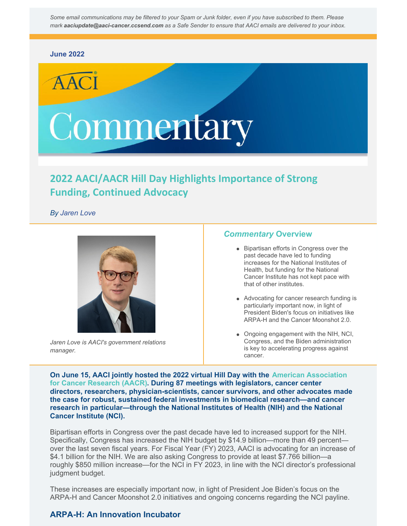Some email communications may be filtered to your Spam or Junk folder, even if you have subscribed to them. Please *mark aaciupdate@aaci-cancer.ccsend.com as a Safe Sender to ensure that AACI emails are delivered to your inbox.*

### **[June](https://aaci-cancer.org/commentary) 2022**

# Commentary

# **2022 AACI/AACR Hill Day Highlights Importance of Strong Funding, Continued Advocacy**

*By Jaren Love*



*Jaren Love is AACI's government relations manager.*

### *Commentary* **Overview**

- Bipartisan efforts in Congress over the past decade have led to funding increases for the National Institutes of Health, but funding for the National Cancer Institute has not kept pace with that of other institutes.
- Advocating for cancer research funding is particularly important now, in light of President Biden's focus on initiatives like ARPA-H and the Cancer Moonshot 2.0.
- Ongoing engagement with the NIH, NCI, Congress, and the Biden administration is key to accelerating progress against cancer.

**On June 15, AACI jointly hosted the 2022 virtual Hill Day with the American [Association](https://www.aacr.org/) for Cancer Research (AACR). During 87 meetings with legislators, cancer center directors, researchers, physician-scientists, cancer survivors, and other advocates made the case for robust, sustained federal investments in biomedical research—and cancer research in particular—through the National Institutes of Health (NIH) and the National Cancer Institute (NCI).**

Bipartisan efforts in Congress over the past decade have led to increased support for the NIH. Specifically, Congress has increased the NIH budget by \$14.9 billion—more than 49 percent over the last seven fiscal years. For Fiscal Year (FY) 2023, AACI is advocating for an increase of \$4.1 billion for the NIH. We are also asking Congress to provide at least \$7.766 billion—a roughly \$850 million increase—for the NCI in FY 2023, in line with the NCI director's professional judgment budget.

These increases are especially important now, in light of President Joe Biden's focus on the ARPA-H and Cancer Moonshot 2.0 initiatives and ongoing concerns regarding the NCI payline.

## **ARPA-H: An Innovation Incubator**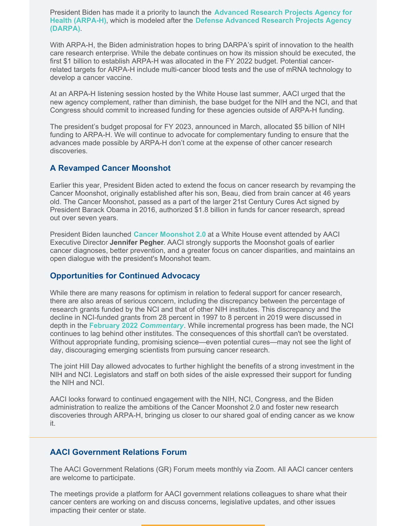President Biden has made it a priority to launch the **[Advanced](https://www.nih.gov/arpa-h) Research Projects Agency for Health (ARPA-H)**, which is modeled after the **Defense [Advanced](https://www.darpa.mil/) Research Projects Agency (DARPA)**.

With ARPA-H, the Biden administration hopes to bring DARPA's spirit of innovation to the health care research enterprise. While the debate continues on how its mission should be executed, the first \$1 billion to establish ARPA-H was allocated in the FY 2022 budget. Potential cancerrelated targets for ARPA-H include multi-cancer blood tests and the use of mRNA technology to develop a cancer vaccine.

At an ARPA-H listening session hosted by the White House last summer, AACI urged that the new agency complement, rather than diminish, the base budget for the NIH and the NCI, and that Congress should commit to increased funding for these agencies outside of ARPA-H funding.

The president's budget proposal for FY 2023, announced in March, allocated \$5 billion of NIH funding to ARPA-H. We will continue to advocate for complementary funding to ensure that the advances made possible by ARPA-H don't come at the expense of other cancer research discoveries.

## **A Revamped Cancer Moonshot**

Earlier this year, President Biden acted to extend the focus on cancer research by revamping the Cancer Moonshot, originally established after his son, Beau, died from brain cancer at 46 years old. The Cancer Moonshot, passed as a part of the larger 21st Century Cures Act signed by President Barack Obama in 2016, authorized \$1.8 billion in funds for cancer research, spread out over seven years.

President Biden launched **Cancer [Moonshot](https://www.whitehouse.gov/briefing-room/statements-releases/2022/02/02/fact-sheet-president-biden-reignites-cancer-moonshot-to-end-cancer-as-we-know-it/) 2.0** at a White House event attended by AACI Executive Director **Jennifer Pegher**. AACI strongly supports the Moonshot goals of earlier cancer diagnoses, better prevention, and a greater focus on cancer disparities, and maintains an open dialogue with the president's Moonshot team.

## **Opportunities for Continued Advocacy**

While there are many reasons for optimism in relation to federal support for cancer research, there are also areas of serious concern, including the discrepancy between the percentage of research grants funded by the NCI and that of other NIH institutes. This discrepancy and the decline in NCI-funded grants from 28 percent in 1997 to 8 percent in 2019 were discussed in depth in the **[February](https://www.aaci-cancer.org/Files/Admin/Commentary Archive/2022-February-AACI-Commentary.pdf) 2022** *[Commentary](https://www.aaci-cancer.org/Files/Admin/Commentary Archive/2022-February-AACI-Commentary.pdf)*. While incremental progress has been made, the NCI continues to lag behind other institutes. The consequences of this shortfall can't be overstated. Without appropriate funding, promising science—even potential cures—may not see the light of day, discouraging emerging scientists from pursuing cancer research.

The joint Hill Day allowed advocates to further highlight the benefits of a strong investment in the NIH and NCI. Legislators and staff on both sides of the aisle expressed their support for funding the NIH and NCI.

AACI looks forward to continued engagement with the NIH, NCI, Congress, and the Biden administration to realize the ambitions of the Cancer Moonshot 2.0 and foster new research discoveries through ARPA-H, bringing us closer to our shared goal of ending cancer as we know it.

## **AACI Government Relations Forum**

The AACI Government Relations (GR) Forum meets monthly via Zoom. All AACI cancer centers are welcome to participate.

The meetings provide a platform for AACI government relations colleagues to share what their cancer centers are working on and discuss concerns, legislative updates, and other issues impacting their center or state.